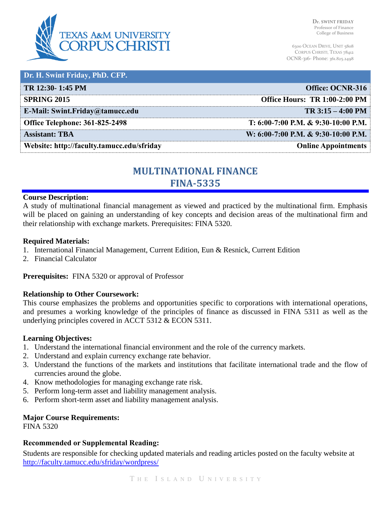

| Dr. H. Swint Friday, PhD. CFP.             |                                     |
|--------------------------------------------|-------------------------------------|
| TR 12:30-1:45 PM                           | Office: OCNR-316                    |
| <b>SPRING 2015</b>                         | Office Hours: TR 1:00-2:00 PM       |
| E-Mail: Swint.Friday@tamucc.edu            | $TR 3:15 - 4:00 PM$                 |
| <b>Office Telephone: 361-825-2498</b>      | T: 6:00-7:00 P.M. & 9:30-10:00 P.M. |
| <b>Assistant: TBA</b>                      | W: 6:00-7:00 P.M. & 9:30-10:00 P.M. |
| Website: http://faculty.tamucc.edu/sfriday | <b>Online Appointments</b>          |

# **MULTINATIONAL FINANCE FINA-5335**

#### **Course Description:**

A study of multinational financial management as viewed and practiced by the multinational firm. Emphasis will be placed on gaining an understanding of key concepts and decision areas of the multinational firm and their relationship with exchange markets. Prerequisites: FINA 5320.

### **Required Materials:**

- 1. International Financial Management, Current Edition, Eun & Resnick, Current Edition
- 2. Financial Calculator

**Prerequisites:** FINA 5320 or approval of Professor

### **Relationship to Other Coursework:**

This course emphasizes the problems and opportunities specific to corporations with international operations, and presumes a working knowledge of the principles of finance as discussed in FINA 5311 as well as the underlying principles covered in ACCT 5312 & ECON 5311.

#### **Learning Objectives:**

- 1. Understand the international financial environment and the role of the currency markets.
- 2. Understand and explain currency exchange rate behavior.
- 3. Understand the functions of the markets and institutions that facilitate international trade and the flow of currencies around the globe.
- 4. Know methodologies for managing exchange rate risk.
- 5. Perform long-term asset and liability management analysis.
- 6. Perform short-term asset and liability management analysis.

#### **Major Course Requirements:**

FINA 5320

### **Recommended or Supplemental Reading:**

Students are responsible for checking updated materials and reading articles posted on the faculty website at <http://faculty.tamucc.edu/sfriday/wordpress/>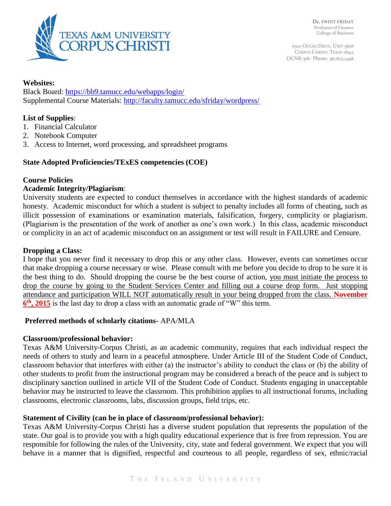

## **Websites:**

Black Board:<https://bb9.tamucc.edu/webapps/login/> Supplemental Course Materials:<http://faculty.tamucc.edu/sfriday/wordpress/>

# **List of Supplies**:

- 1. Financial Calculator
- 2. Notebook Computer
- 3. Access to Internet, word processing, and spreadsheet programs

# **State Adopted Proficiencies/TExES competencies (COE)**

# **Course Policies**

# **Academic Integrity/Plagiarism**:

University students are expected to conduct themselves in accordance with the highest standards of academic honesty. Academic misconduct for which a student is subject to penalty includes all forms of cheating, such as illicit possession of examinations or examination materials, falsification, forgery, complicity or plagiarism. (Plagiarism is the presentation of the work of another as one's own work.) In this class, academic misconduct or complicity in an act of academic misconduct on an assignment or test will result in FAILURE and Censure.

## **Dropping a Class:**

I hope that you never find it necessary to drop this or any other class. However, events can sometimes occur that make dropping a course necessary or wise. Please consult with me before you decide to drop to be sure it is the best thing to do. Should dropping the course be the best course of action, you must initiate the process to drop the course by going to the Student Services Center and filling out a course drop form. Just stopping attendance and participation WILL NOT automatically result in your being dropped from the class. **November 6 th, 2015** is the last day to drop a class with an automatic grade of "W" this term.

# **Preferred methods of scholarly citations-** APA/MLA

# **Classroom/professional behavior:**

Texas A&M University-Corpus Christi, as an academic community, requires that each individual respect the needs of others to study and learn in a peaceful atmosphere. Under Article III of the Student Code of Conduct, classroom behavior that interferes with either (a) the instructor's ability to conduct the class or (b) the ability of other students to profit from the instructional program may be considered a breach of the peace and is subject to disciplinary sanction outlined in article VII of the Student Code of Conduct. Students engaging in unacceptable behavior may be instructed to leave the classroom. This prohibition applies to all instructional forums, including classrooms, electronic classrooms, labs, discussion groups, field trips, etc.

# **Statement of Civility (can be in place of classroom/professional behavior):**

Texas A&M University-Corpus Christi has a diverse student population that represents the population of the state. Our goal is to provide you with a high quality educational experience that is free from repression. You are responsible for following the rules of the University, city, state and federal government. We expect that you will behave in a manner that is dignified, respectful and courteous to all people, regardless of sex, ethnic/racial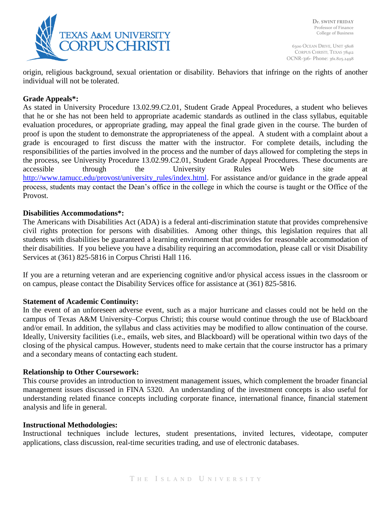

origin, religious background, sexual orientation or disability. Behaviors that infringe on the rights of another individual will not be tolerated.

## **Grade Appeals\*:**

As stated in University Procedure 13.02.99.C2.01, Student Grade Appeal Procedures, a student who believes that he or she has not been held to appropriate academic standards as outlined in the class syllabus, equitable evaluation procedures, or appropriate grading, may appeal the final grade given in the course. The burden of proof is upon the student to demonstrate the appropriateness of the appeal. A student with a complaint about a grade is encouraged to first discuss the matter with the instructor. For complete details, including the responsibilities of the parties involved in the process and the number of days allowed for completing the steps in the process, see University Procedure 13.02.99.C2.01, Student Grade Appeal Procedures. These documents are accessible through the University Rules Web site at [http://www.tamucc.edu/provost/university\\_rules/index.html.](http://www.tamucc.edu/provost/university_rules/index.html) For assistance and/or guidance in the grade appeal process, students may contact the Dean's office in the college in which the course is taught or the Office of the Provost.

### **Disabilities Accommodations\*:**

The Americans with Disabilities Act (ADA) is a federal anti-discrimination statute that provides comprehensive civil rights protection for persons with disabilities. Among other things, this legislation requires that all students with disabilities be guaranteed a learning environment that provides for reasonable accommodation of their disabilities. If you believe you have a disability requiring an accommodation, please call or visit Disability Services at (361) 825-5816 in Corpus Christi Hall 116.

If you are a returning veteran and are experiencing cognitive and/or physical access issues in the classroom or on campus, please contact the Disability Services office for assistance at (361) 825-5816.

### **Statement of Academic Continuity:**

In the event of an unforeseen adverse event, such as a major hurricane and classes could not be held on the campus of Texas A&M University–Corpus Christi; this course would continue through the use of Blackboard and/or email. In addition, the syllabus and class activities may be modified to allow continuation of the course. Ideally, University facilities (i.e., emails, web sites, and Blackboard) will be operational within two days of the closing of the physical campus. However, students need to make certain that the course instructor has a primary and a secondary means of contacting each student.

### **Relationship to Other Coursework:**

This course provides an introduction to investment management issues, which complement the broader financial management issues discussed in FINA 5320. An understanding of the investment concepts is also useful for understanding related finance concepts including corporate finance, international finance, financial statement analysis and life in general.

### **Instructional Methodologies:**

Instructional techniques include lectures, student presentations, invited lectures, videotape, computer applications, class discussion, real-time securities trading, and use of electronic databases.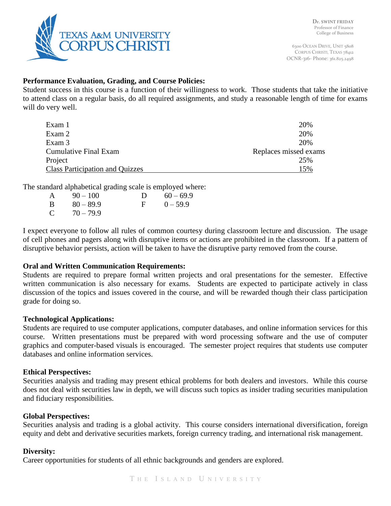

# **Performance Evaluation, Grading, and Course Policies:**

Student success in this course is a function of their willingness to work. Those students that take the initiative to attend class on a regular basis, do all required assignments, and study a reasonable length of time for exams will do very well.

| Exam 1                                 | 20%                   |
|----------------------------------------|-----------------------|
| Exam 2                                 | 20%                   |
| Exam 3                                 | 20%                   |
| <b>Cumulative Final Exam</b>           | Replaces missed exams |
| Project                                | 25%                   |
| <b>Class Participation and Quizzes</b> | 15%                   |

The standard alphabetical grading scale is employed where:

| A  | $90 - 100$  | D        | $60 - 69.9$ |
|----|-------------|----------|-------------|
| -B | $80 - 89.9$ | <b>E</b> | $0 - 59.9$  |
| C  | $70 - 79.9$ |          |             |

I expect everyone to follow all rules of common courtesy during classroom lecture and discussion. The usage of cell phones and pagers along with disruptive items or actions are prohibited in the classroom. If a pattern of disruptive behavior persists, action will be taken to have the disruptive party removed from the course.

# **Oral and Written Communication Requirements:**

Students are required to prepare formal written projects and oral presentations for the semester. Effective written communication is also necessary for exams. Students are expected to participate actively in class discussion of the topics and issues covered in the course, and will be rewarded though their class participation grade for doing so.

### **Technological Applications:**

Students are required to use computer applications, computer databases, and online information services for this course. Written presentations must be prepared with word processing software and the use of computer graphics and computer-based visuals is encouraged. The semester project requires that students use computer databases and online information services.

# **Ethical Perspectives:**

Securities analysis and trading may present ethical problems for both dealers and investors. While this course does not deal with securities law in depth, we will discuss such topics as insider trading securities manipulation and fiduciary responsibilities.

# **Global Perspectives:**

Securities analysis and trading is a global activity. This course considers international diversification, foreign equity and debt and derivative securities markets, foreign currency trading, and international risk management.

### **Diversity:**

Career opportunities for students of all ethnic backgrounds and genders are explored.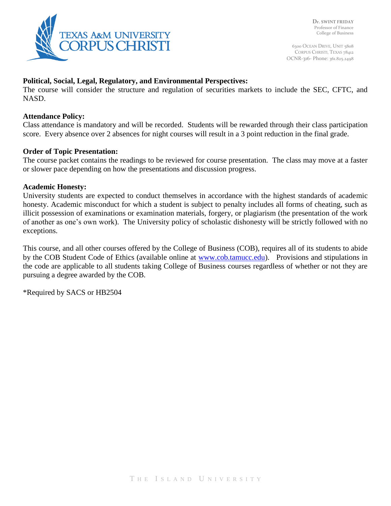

## **Political, Social, Legal, Regulatory, and Environmental Perspectives:**

The course will consider the structure and regulation of securities markets to include the SEC, CFTC, and NASD.

#### **Attendance Policy:**

Class attendance is mandatory and will be recorded. Students will be rewarded through their class participation score. Every absence over 2 absences for night courses will result in a 3 point reduction in the final grade.

#### **Order of Topic Presentation:**

The course packet contains the readings to be reviewed for course presentation. The class may move at a faster or slower pace depending on how the presentations and discussion progress.

#### **Academic Honesty:**

University students are expected to conduct themselves in accordance with the highest standards of academic honesty. Academic misconduct for which a student is subject to penalty includes all forms of cheating, such as illicit possession of examinations or examination materials, forgery, or plagiarism (the presentation of the work of another as one's own work). The University policy of scholastic dishonesty will be strictly followed with no exceptions.

This course, and all other courses offered by the College of Business (COB), requires all of its students to abide by the COB Student Code of Ethics (available online at [www.cob.tamucc.edu\)](http://www.cob.tamucc.edu/). Provisions and stipulations in the code are applicable to all students taking College of Business courses regardless of whether or not they are pursuing a degree awarded by the COB.

\*Required by SACS or HB2504